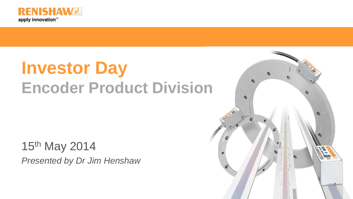

# **Investor Day Encoder Product Division**

15th May 2014 *Presented by Dr Jim Henshaw* 

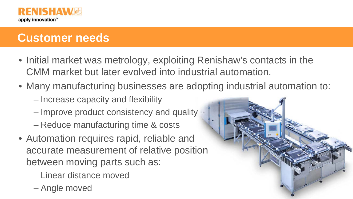

## **Customer needs**

- Initial market was metrology, exploiting Renishaw's contacts in the CMM market but later evolved into industrial automation.
- Many manufacturing businesses are adopting industrial automation to:
	- Increase capacity and flexibility
	- Improve product consistency and quality
	- Reduce manufacturing time & costs
- Automation requires rapid, reliable and accurate measurement of relative position between moving parts such as:
	- Linear distance moved
	- Angle moved

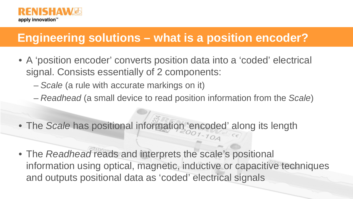

## **Engineering solutions – what is a position encoder?**

- A 'position encoder' converts position data into a 'coded' electrical signal. Consists essentially of 2 components:
	- *Scale* (a rule with accurate markings on it)
	- *Readhead* (a small device to read position information from the *Scale*)
- The *Scale* has positional information 'encoded' along its length
- The *Readhead* reads and interprets the scale's positional information using optical, magnetic, inductive or capacitive techniques and outputs positional data as 'coded' electrical signals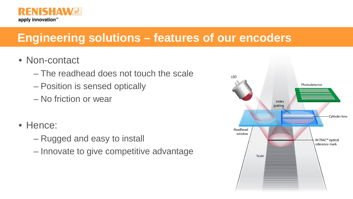

# **Engineering solutions – features of our encoders**

- Non-contact
	- The readhead does not touch the scale
	- Position is sensed optically
	- No friction or wear
- Hence:
	- Rugged and easy to install
	- Innovate to give competitive advantage

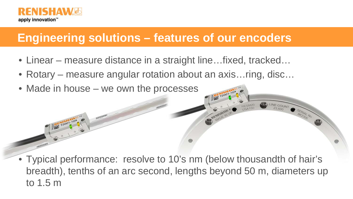

N1501-10A

#### **Engineering solutions – features of our encoders**

- Linear measure distance in a straight line…fixed, tracked…
- Rotary measure angular rotation about an axis…ring, disc…
- Made in house we own the processes

• Typical performance: resolve to 10's nm (below thousandth of hair's breadth), tenths of an arc second, lengths beyond 50 m, diameters up to 1.5 m

SERIAL NO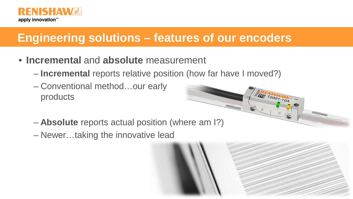

# **Engineering solutions – features of our encoders**

- **Incremental** and **absolute** measurement
	- **Incremental** reports relative position (how far have I moved?)

**ANEWSHAW** 

- Conventional method…our early products
- **Absolute** reports actual position (where am I?)
- Newer…taking the innovative lead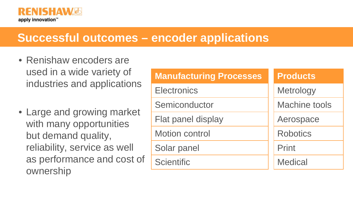

#### **Successful outcomes – encoder applications**

- Renishaw encoders are used in a wide variety of industries and applications
- Large and growing market with many opportunities but demand quality, reliability, service as well as performance and cost of ownership

| <b>Manufacturing Processes</b> | <b>Products</b>      |
|--------------------------------|----------------------|
| <b>Electronics</b>             | <b>Metrology</b>     |
| Semiconductor                  | <b>Machine tools</b> |
| Flat panel display             | Aerospace            |
| <b>Motion control</b>          | <b>Robotics</b>      |
| Solar panel                    | Print                |
| <b>Scientific</b>              | <b>Medical</b>       |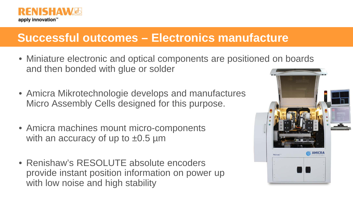

## **Successful outcomes – Electronics manufacture**

- Miniature electronic and optical components are positioned on boards and then bonded with glue or solder
- Amicra Mikrotechnologie develops and manufactures Micro Assembly Cells designed for this purpose.
- Amicra machines mount micro-components with an accuracy of up to  $\pm 0.5$  µm
- Renishaw's RESOLUTE absolute encoders provide instant position information on power up with low noise and high stability